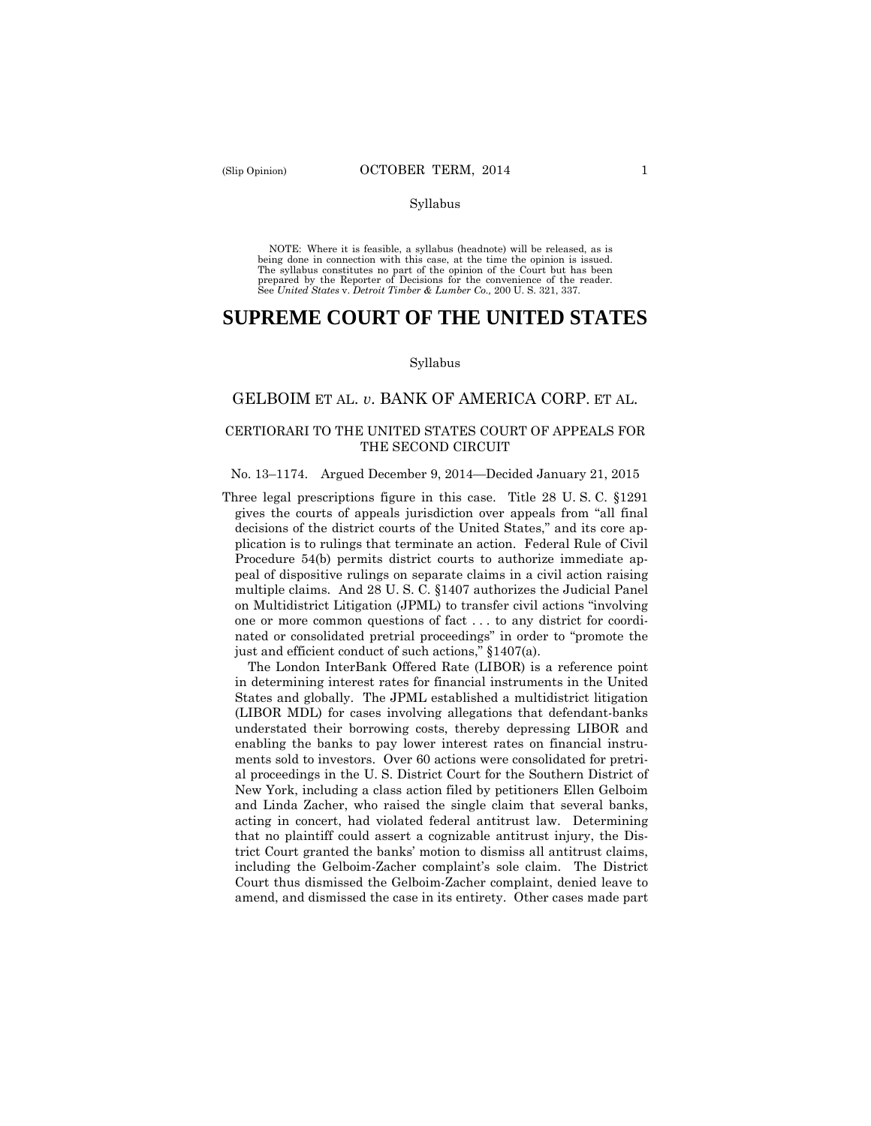### Syllabus

 being done in connection with this case, at the time the opinion is issued. NOTE: Where it is feasible, a syllabus (headnote) will be released, as is The syllabus constitutes no part of the opinion of the Court but has been prepared by the Reporter of Decisions for the convenience of the reader. See *United States* v. *Detroit Timber & Lumber Co.,* 200 U. S. 321, 337.

# **SUPREME COURT OF THE UNITED STATES**

### Syllabus

# GELBOIM ET AL. *v*. BANK OF AMERICA CORP. ET AL.

### CERTIORARI TO THE UNITED STATES COURT OF APPEALS FOR THE SECOND CIRCUIT

### No. 13–1174. Argued December 9, 2014—Decided January 21, 2015

Three legal prescriptions figure in this case. Title 28 U. S. C. §1291 gives the courts of appeals jurisdiction over appeals from "all final decisions of the district courts of the United States," and its core application is to rulings that terminate an action. Federal Rule of Civil Procedure 54(b) permits district courts to authorize immediate appeal of dispositive rulings on separate claims in a civil action raising multiple claims. And 28 U. S. C. §1407 authorizes the Judicial Panel on Multidistrict Litigation (JPML) to transfer civil actions "involving one or more common questions of fact . . . to any district for coordinated or consolidated pretrial proceedings" in order to "promote the just and efficient conduct of such actions," §1407(a).

 including the Gelboim-Zacher complaint's sole claim. The District The London InterBank Offered Rate (LIBOR) is a reference point in determining interest rates for financial instruments in the United States and globally. The JPML established a multidistrict litigation (LIBOR MDL) for cases involving allegations that defendant-banks understated their borrowing costs, thereby depressing LIBOR and enabling the banks to pay lower interest rates on financial instruments sold to investors. Over 60 actions were consolidated for pretrial proceedings in the U. S. District Court for the Southern District of New York, including a class action filed by petitioners Ellen Gelboim and Linda Zacher, who raised the single claim that several banks, acting in concert, had violated federal antitrust law. Determining that no plaintiff could assert a cognizable antitrust injury, the District Court granted the banks' motion to dismiss all antitrust claims, Court thus dismissed the Gelboim-Zacher complaint, denied leave to amend, and dismissed the case in its entirety. Other cases made part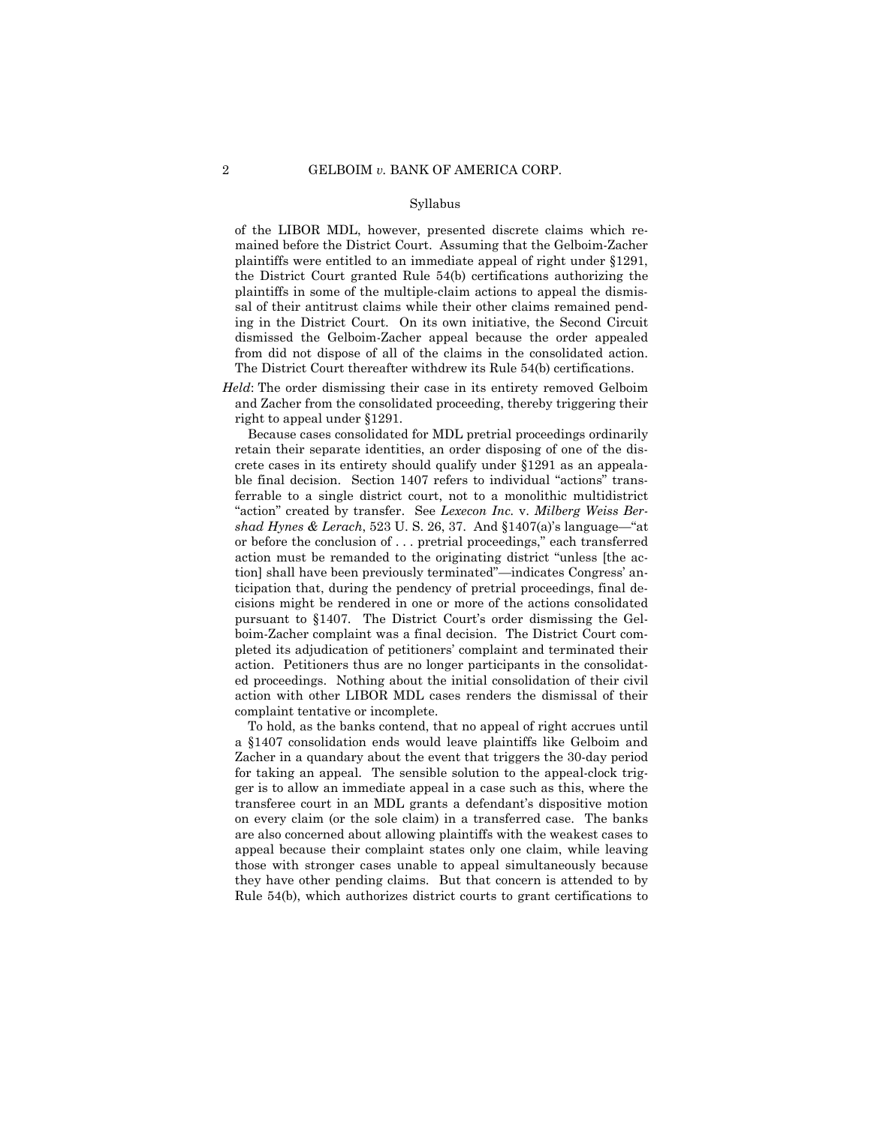#### Syllabus

of the LIBOR MDL, however, presented discrete claims which remained before the District Court. Assuming that the Gelboim-Zacher plaintiffs were entitled to an immediate appeal of right under §1291, the District Court granted Rule 54(b) certifications authorizing the plaintiffs in some of the multiple-claim actions to appeal the dismissal of their antitrust claims while their other claims remained pending in the District Court. On its own initiative, the Second Circuit dismissed the Gelboim-Zacher appeal because the order appealed from did not dispose of all of the claims in the consolidated action. The District Court thereafter withdrew its Rule 54(b) certifications.

*Held*: The order dismissing their case in its entirety removed Gelboim and Zacher from the consolidated proceeding, thereby triggering their right to appeal under §1291.

Because cases consolidated for MDL pretrial proceedings ordinarily retain their separate identities, an order disposing of one of the discrete cases in its entirety should qualify under §1291 as an appealable final decision. Section 1407 refers to individual "actions" transferrable to a single district court, not to a monolithic multidistrict "action" created by transfer. See *Lexecon Inc.* v. *Milberg Weiss Bershad Hynes & Lerach*, 523 U. S. 26, 37. And §1407(a)'s language—"at or before the conclusion of . . . pretrial proceedings," each transferred action must be remanded to the originating district "unless [the action] shall have been previously terminated"—indicates Congress' anticipation that, during the pendency of pretrial proceedings, final decisions might be rendered in one or more of the actions consolidated pursuant to §1407. The District Court's order dismissing the Gelboim-Zacher complaint was a final decision. The District Court completed its adjudication of petitioners' complaint and terminated their action. Petitioners thus are no longer participants in the consolidated proceedings. Nothing about the initial consolidation of their civil action with other LIBOR MDL cases renders the dismissal of their complaint tentative or incomplete.

To hold, as the banks contend, that no appeal of right accrues until a §1407 consolidation ends would leave plaintiffs like Gelboim and Zacher in a quandary about the event that triggers the 30-day period for taking an appeal. The sensible solution to the appeal-clock trigger is to allow an immediate appeal in a case such as this, where the transferee court in an MDL grants a defendant's dispositive motion on every claim (or the sole claim) in a transferred case. The banks are also concerned about allowing plaintiffs with the weakest cases to appeal because their complaint states only one claim, while leaving those with stronger cases unable to appeal simultaneously because they have other pending claims. But that concern is attended to by Rule 54(b), which authorizes district courts to grant certifications to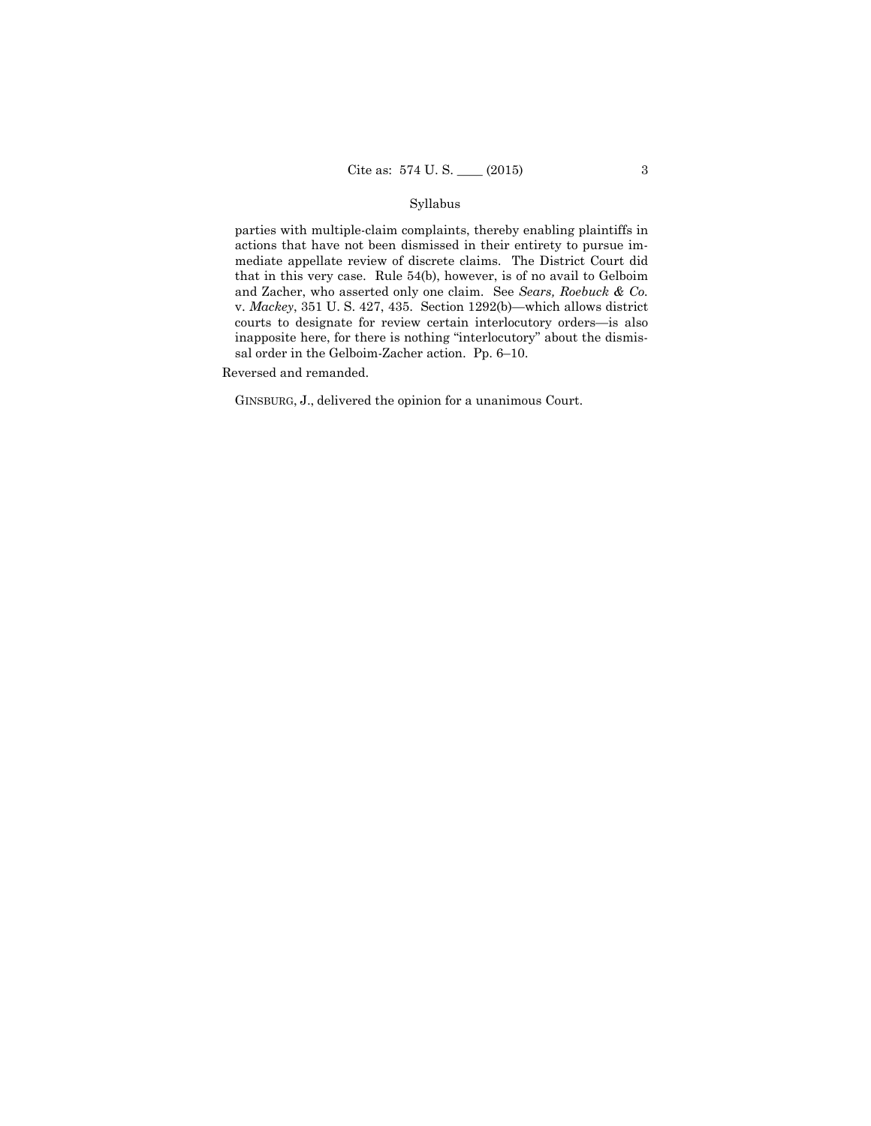### Syllabus

parties with multiple-claim complaints, thereby enabling plaintiffs in actions that have not been dismissed in their entirety to pursue immediate appellate review of discrete claims. The District Court did that in this very case. Rule 54(b), however, is of no avail to Gelboim and Zacher, who asserted only one claim. See *Sears, Roebuck & Co.*  v. *Mackey*, 351 U. S. 427, 435. Section 1292(b)—which allows district courts to designate for review certain interlocutory orders—is also inapposite here, for there is nothing "interlocutory" about the dismissal order in the Gelboim-Zacher action. Pp. 6–10.

Reversed and remanded.

GINSBURG, J., delivered the opinion for a unanimous Court.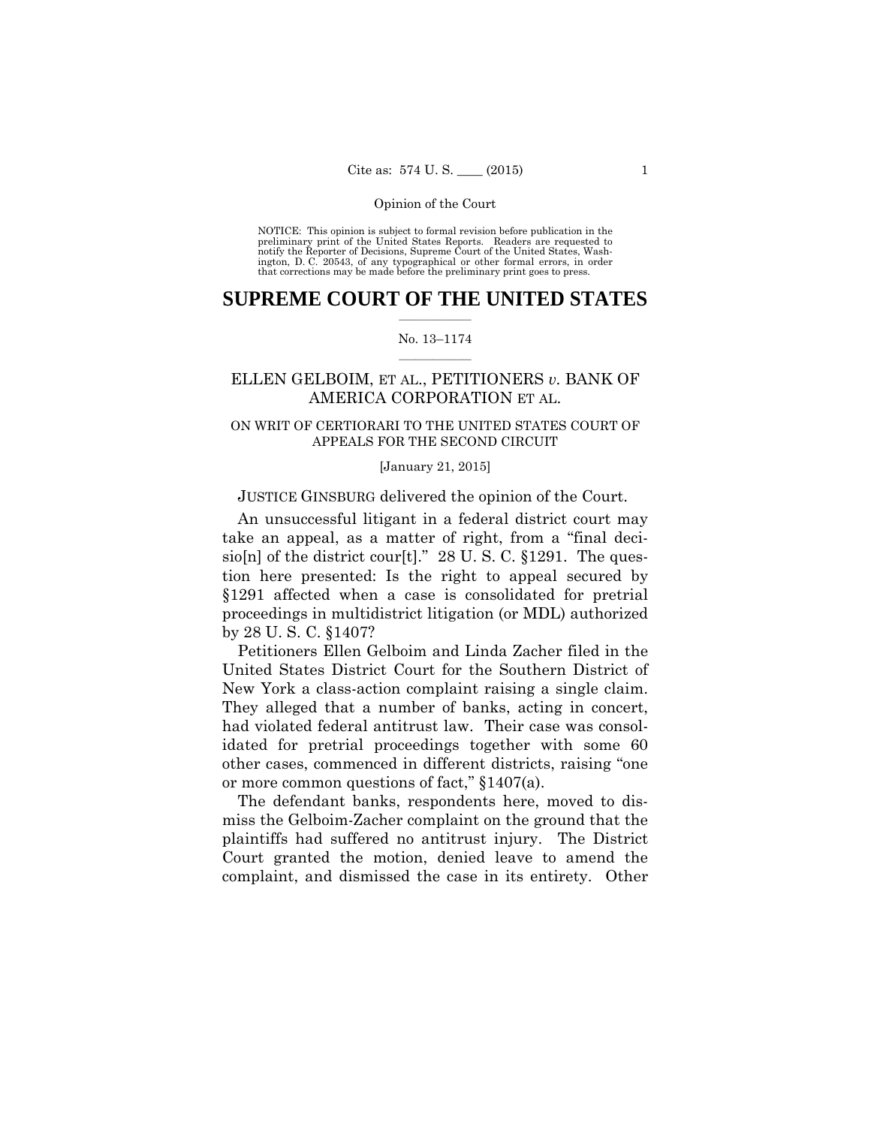preliminary print of the United States Reports. Readers are requested to notify the Reporter of Decisions, Supreme Court of the United States, Wash- ington, D. C. 20543, of any typographical or other formal errors, in order that corrections may be made before the preliminary print goes to press. NOTICE: This opinion is subject to formal revision before publication in the

### $\frac{1}{2}$  , where  $\frac{1}{2}$ **SUPREME COURT OF THE UNITED STATES**

### $\frac{1}{2}$  ,  $\frac{1}{2}$  ,  $\frac{1}{2}$  ,  $\frac{1}{2}$  ,  $\frac{1}{2}$  ,  $\frac{1}{2}$ No. 13–1174

# ELLEN GELBOIM, ET AL., PETITIONERS *v.* BANK OF AMERICA CORPORATION ET AL.

# ON WRIT OF CERTIORARI TO THE UNITED STATES COURT OF APPEALS FOR THE SECOND CIRCUIT

#### [January 21, 2015]

### JUSTICE GINSBURG delivered the opinion of the Court.

An unsuccessful litigant in a federal district court may take an appeal, as a matter of right, from a "final decisio[n] of the district cour[t]."  $28$  U. S. C. §1291. The question here presented: Is the right to appeal secured by §1291 affected when a case is consolidated for pretrial proceedings in multidistrict litigation (or MDL) authorized by 28 U. S. C. §1407?

 United States District Court for the Southern District of Petitioners Ellen Gelboim and Linda Zacher filed in the New York a class-action complaint raising a single claim. They alleged that a number of banks, acting in concert, had violated federal antitrust law. Their case was consolidated for pretrial proceedings together with some 60 other cases, commenced in different districts, raising "one or more common questions of fact," §1407(a).

The defendant banks, respondents here, moved to dismiss the Gelboim-Zacher complaint on the ground that the plaintiffs had suffered no antitrust injury. The District Court granted the motion, denied leave to amend the complaint, and dismissed the case in its entirety. Other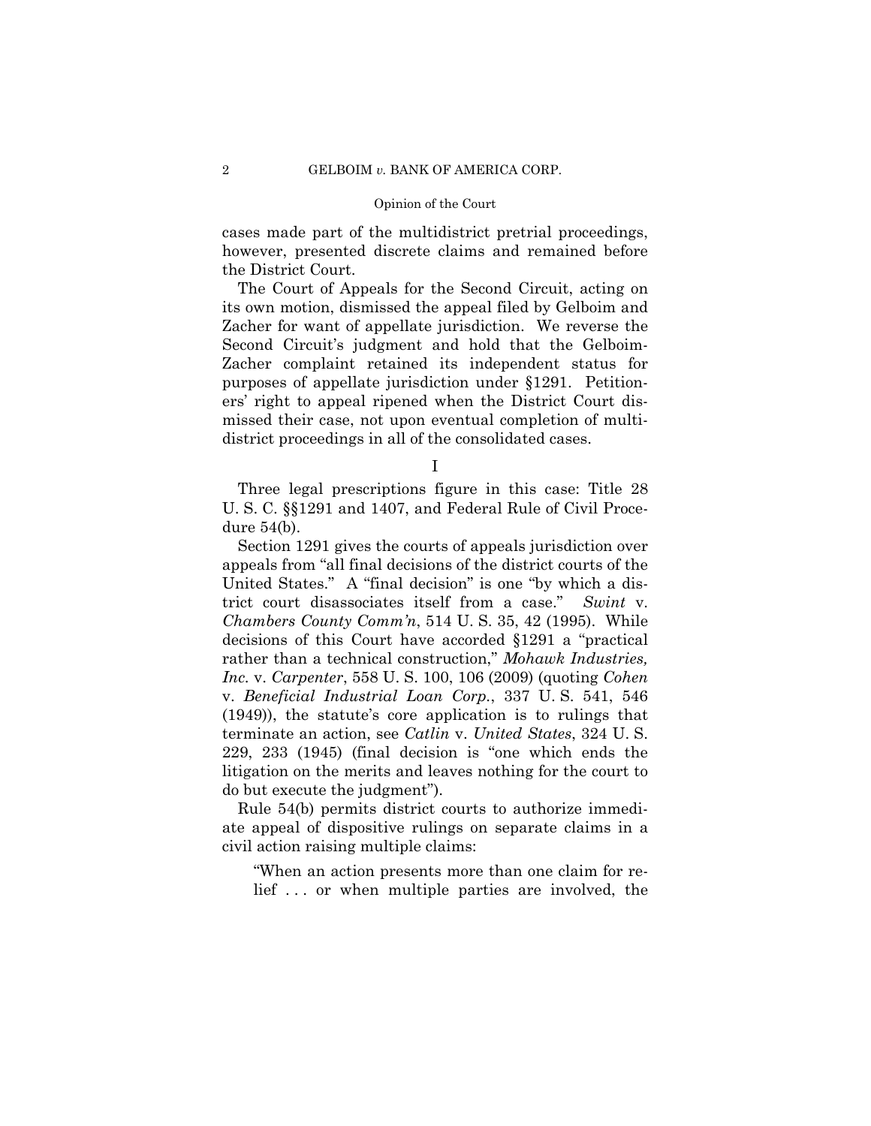cases made part of the multidistrict pretrial proceedings, however, presented discrete claims and remained before the District Court.

The Court of Appeals for the Second Circuit, acting on its own motion, dismissed the appeal filed by Gelboim and Zacher for want of appellate jurisdiction. We reverse the Second Circuit's judgment and hold that the Gelboim-Zacher complaint retained its independent status for purposes of appellate jurisdiction under §1291. Petitioners' right to appeal ripened when the District Court dismissed their case, not upon eventual completion of multidistrict proceedings in all of the consolidated cases.

I

Three legal prescriptions figure in this case: Title 28 U. S. C. §§1291 and 1407, and Federal Rule of Civil Procedure 54(b).

Section 1291 gives the courts of appeals jurisdiction over appeals from "all final decisions of the district courts of the United States." A "final decision" is one "by which a district court disassociates itself from a case." *Swint* v. *Chambers County Comm'n*, 514 U. S. 35, 42 (1995). While decisions of this Court have accorded §1291 a "practical rather than a technical construction," *Mohawk Industries, Inc.* v. *Carpenter*, 558 U. S. 100, 106 (2009) (quoting *Cohen*  v. *Beneficial Industrial Loan Corp.*, 337 U. S. 541, 546 (1949)), the statute's core application is to rulings that terminate an action, see *Catlin* v. *United States*, 324 U. S. 229, 233 (1945) (final decision is "one which ends the litigation on the merits and leaves nothing for the court to do but execute the judgment").

Rule 54(b) permits district courts to authorize immediate appeal of dispositive rulings on separate claims in a civil action raising multiple claims:

"When an action presents more than one claim for relief . . . or when multiple parties are involved, the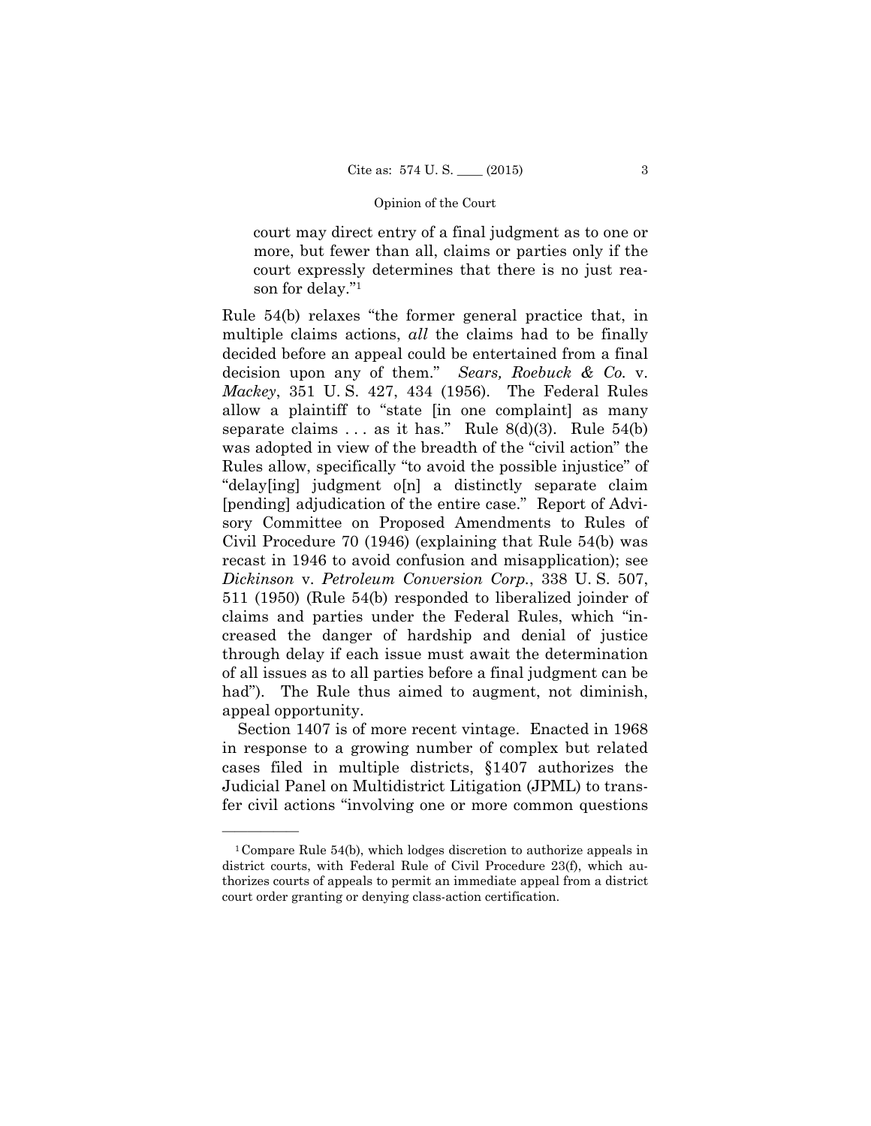court may direct entry of a final judgment as to one or more, but fewer than all, claims or parties only if the court expressly determines that there is no just reason for delay."1

Rule 54(b) relaxes "the former general practice that, in multiple claims actions, *all* the claims had to be finally decided before an appeal could be entertained from a final decision upon any of them." *Sears, Roebuck & Co.* v. *Mackey*, 351 U. S. 427, 434 (1956). The Federal Rules allow a plaintiff to "state [in one complaint] as many separate claims  $\ldots$  as it has." Rule 8(d)(3). Rule 54(b) was adopted in view of the breadth of the "civil action" the Rules allow, specifically "to avoid the possible injustice" of "delay[ing] judgment o[n] a distinctly separate claim [pending] adjudication of the entire case." Report of Advisory Committee on Proposed Amendments to Rules of Civil Procedure 70 (1946) (explaining that Rule 54(b) was recast in 1946 to avoid confusion and misapplication); see *Dickinson* v. *Petroleum Conversion Corp.*, 338 U. S. 507, 511 (1950) (Rule 54(b) responded to liberalized joinder of claims and parties under the Federal Rules, which "increased the danger of hardship and denial of justice through delay if each issue must await the determination of all issues as to all parties before a final judgment can be had"). The Rule thus aimed to augment, not diminish, appeal opportunity.

Section 1407 is of more recent vintage. Enacted in 1968 in response to a growing number of complex but related cases filed in multiple districts, §1407 authorizes the Judicial Panel on Multidistrict Litigation (JPML) to transfer civil actions "involving one or more common questions

<sup>&</sup>lt;sup>1</sup>Compare Rule 54(b), which lodges discretion to authorize appeals in district courts, with Federal Rule of Civil Procedure 23(f), which authorizes courts of appeals to permit an immediate appeal from a district court order granting or denying class-action certification.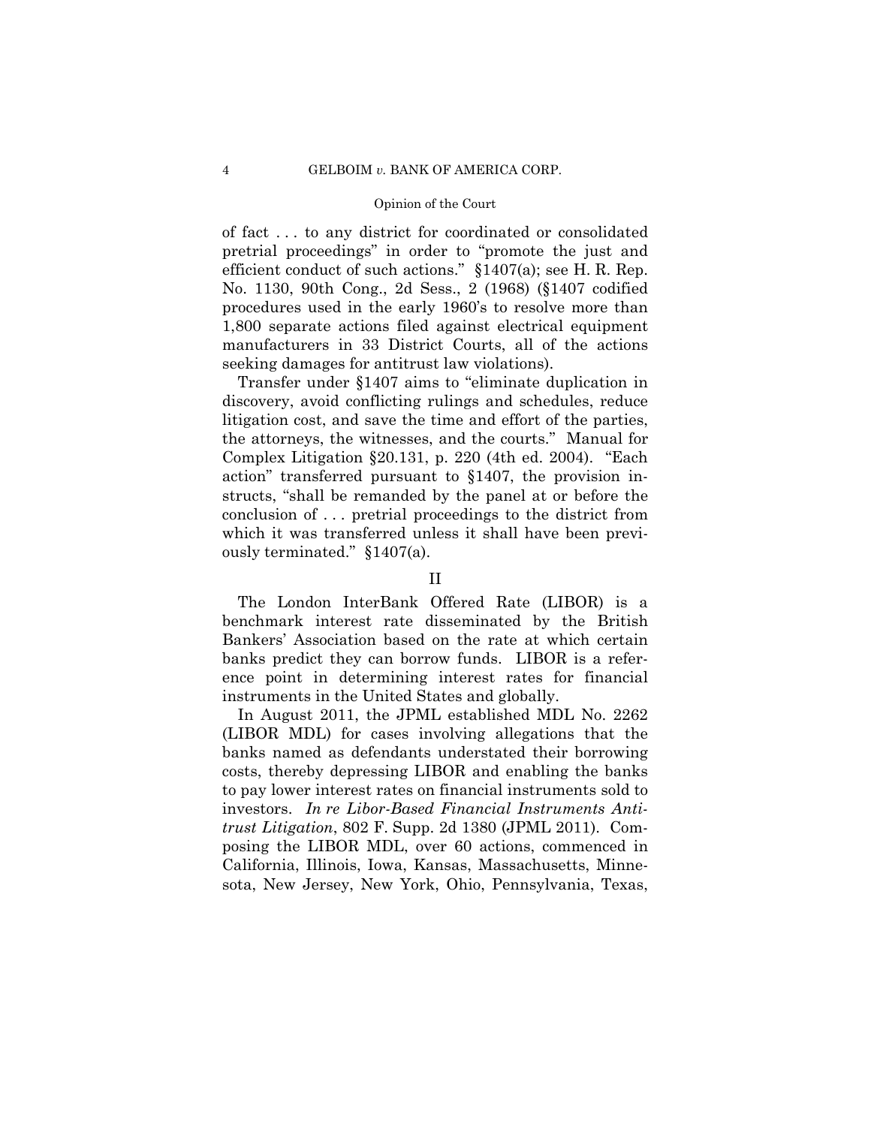of fact . . . to any district for coordinated or consolidated pretrial proceedings" in order to "promote the just and efficient conduct of such actions." §1407(a); see H. R. Rep. No. 1130, 90th Cong., 2d Sess., 2 (1968) (§1407 codified procedures used in the early 1960's to resolve more than 1,800 separate actions filed against electrical equipment manufacturers in 33 District Courts, all of the actions seeking damages for antitrust law violations).

Transfer under §1407 aims to "eliminate duplication in discovery, avoid conflicting rulings and schedules, reduce litigation cost, and save the time and effort of the parties, the attorneys, the witnesses, and the courts." Manual for Complex Litigation §20.131, p. 220 (4th ed. 2004). "Each action" transferred pursuant to §1407, the provision instructs, "shall be remanded by the panel at or before the conclusion of . . . pretrial proceedings to the district from which it was transferred unless it shall have been previously terminated." §1407(a).

# II

The London InterBank Offered Rate (LIBOR) is a benchmark interest rate disseminated by the British Bankers' Association based on the rate at which certain banks predict they can borrow funds. LIBOR is a reference point in determining interest rates for financial instruments in the United States and globally.

 to pay lower interest rates on financial instruments sold to In August 2011, the JPML established MDL No. 2262 (LIBOR MDL) for cases involving allegations that the banks named as defendants understated their borrowing costs, thereby depressing LIBOR and enabling the banks investors. *In re Libor-Based Financial Instruments Antitrust Litigation*, 802 F. Supp. 2d 1380 (JPML 2011). Composing the LIBOR MDL, over 60 actions, commenced in California, Illinois, Iowa, Kansas, Massachusetts, Minnesota, New Jersey, New York, Ohio, Pennsylvania, Texas,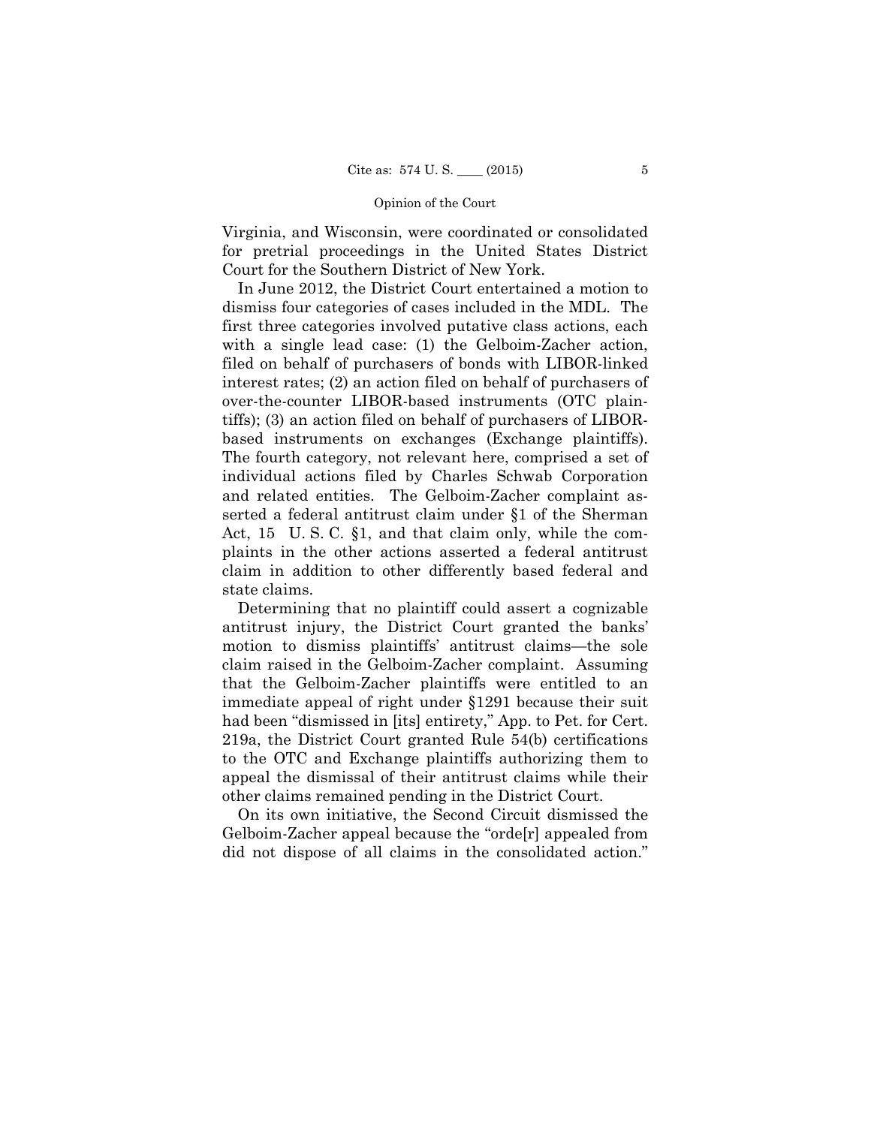Virginia, and Wisconsin, were coordinated or consolidated for pretrial proceedings in the United States District Court for the Southern District of New York.

In June 2012, the District Court entertained a motion to dismiss four categories of cases included in the MDL. The first three categories involved putative class actions, each with a single lead case: (1) the Gelboim-Zacher action, filed on behalf of purchasers of bonds with LIBOR-linked interest rates; (2) an action filed on behalf of purchasers of over-the-counter LIBOR-based instruments (OTC plaintiffs); (3) an action filed on behalf of purchasers of LIBORbased instruments on exchanges (Exchange plaintiffs). The fourth category, not relevant here, comprised a set of individual actions filed by Charles Schwab Corporation and related entities. The Gelboim-Zacher complaint asserted a federal antitrust claim under §1 of the Sherman Act, 15 U. S. C. §1, and that claim only, while the complaints in the other actions asserted a federal antitrust claim in addition to other differently based federal and state claims.

Determining that no plaintiff could assert a cognizable antitrust injury, the District Court granted the banks' motion to dismiss plaintiffs' antitrust claims—the sole claim raised in the Gelboim-Zacher complaint. Assuming that the Gelboim-Zacher plaintiffs were entitled to an immediate appeal of right under §1291 because their suit had been "dismissed in [its] entirety," App. to Pet. for Cert. 219a, the District Court granted Rule 54(b) certifications to the OTC and Exchange plaintiffs authorizing them to appeal the dismissal of their antitrust claims while their other claims remained pending in the District Court.

On its own initiative, the Second Circuit dismissed the Gelboim-Zacher appeal because the "orde[r] appealed from did not dispose of all claims in the consolidated action."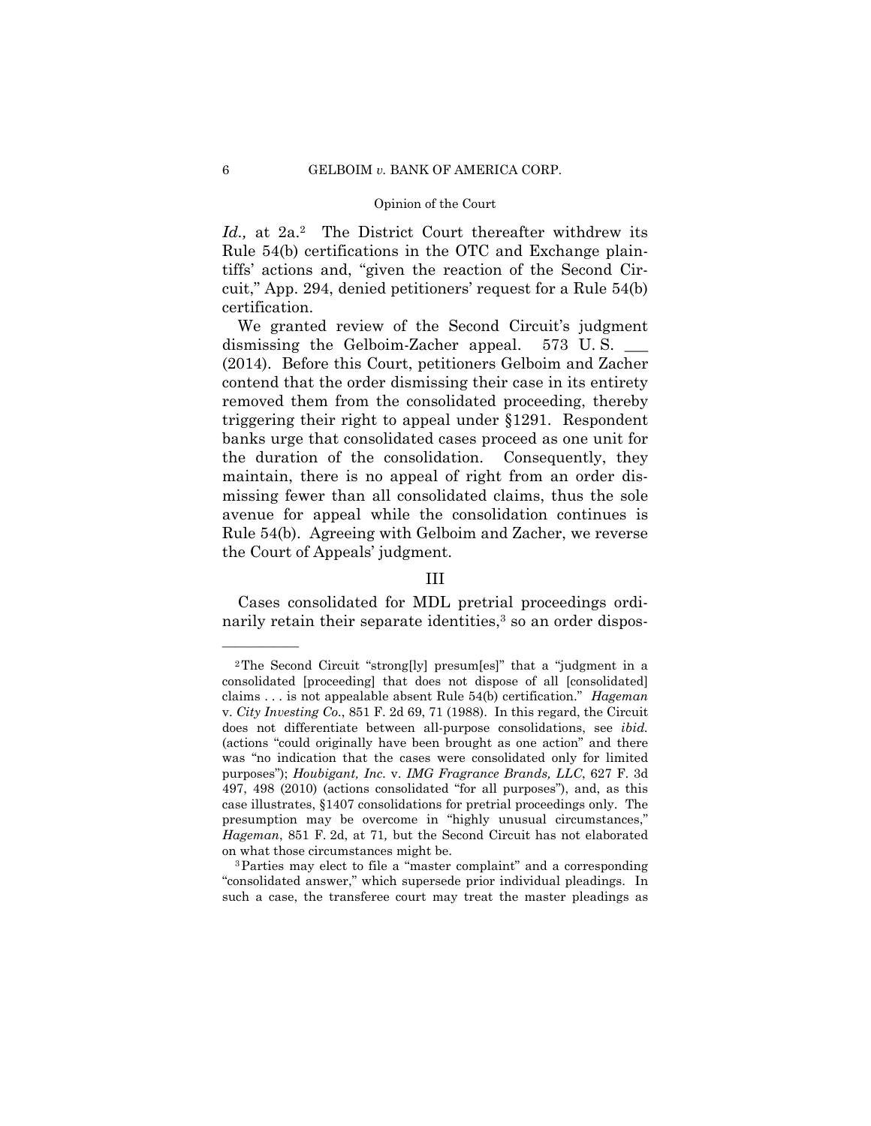*Id.*, at 2a.<sup>2</sup> The District Court thereafter withdrew its Rule 54(b) certifications in the OTC and Exchange plaintiffs' actions and, "given the reaction of the Second Circuit," App. 294, denied petitioners' request for a Rule 54(b) certification.

We granted review of the Second Circuit's judgment dismissing the Gelboim-Zacher appeal.  $573$  U.S. (2014). Before this Court, petitioners Gelboim and Zacher contend that the order dismissing their case in its entirety removed them from the consolidated proceeding, thereby triggering their right to appeal under §1291. Respondent banks urge that consolidated cases proceed as one unit for the duration of the consolidation. Consequently, they maintain, there is no appeal of right from an order dismissing fewer than all consolidated claims, thus the sole avenue for appeal while the consolidation continues is Rule 54(b). Agreeing with Gelboim and Zacher, we reverse the Court of Appeals' judgment.

# III

Cases consolidated for MDL pretrial proceedings ordinarily retain their separate identities,<sup>3</sup> so an order dispos-

 claims . . . is not appealable absent Rule 54(b) certification." *Hageman* 2The Second Circuit "strong[ly] presum[es]" that a "judgment in a consolidated [proceeding] that does not dispose of all [consolidated] v. *City Investing Co.*, 851 F. 2d 69, 71 (1988). In this regard, the Circuit does not differentiate between all-purpose consolidations, see *ibid.*  (actions "could originally have been brought as one action" and there was "no indication that the cases were consolidated only for limited purposes"); *Houbigant, Inc.* v. *IMG Fragrance Brands, LLC*, 627 F. 3d 497, 498 (2010) (actions consolidated "for all purposes"), and, as this case illustrates, §1407 consolidations for pretrial proceedings only. The presumption may be overcome in "highly unusual circumstances," *Hageman*, 851 F. 2d, at 71*,* but the Second Circuit has not elaborated

on what those circumstances might be.<br><sup>3</sup>Parties may elect to file a "master complaint" and a corresponding "consolidated answer," which supersede prior individual pleadings. In such a case, the transferee court may treat the master pleadings as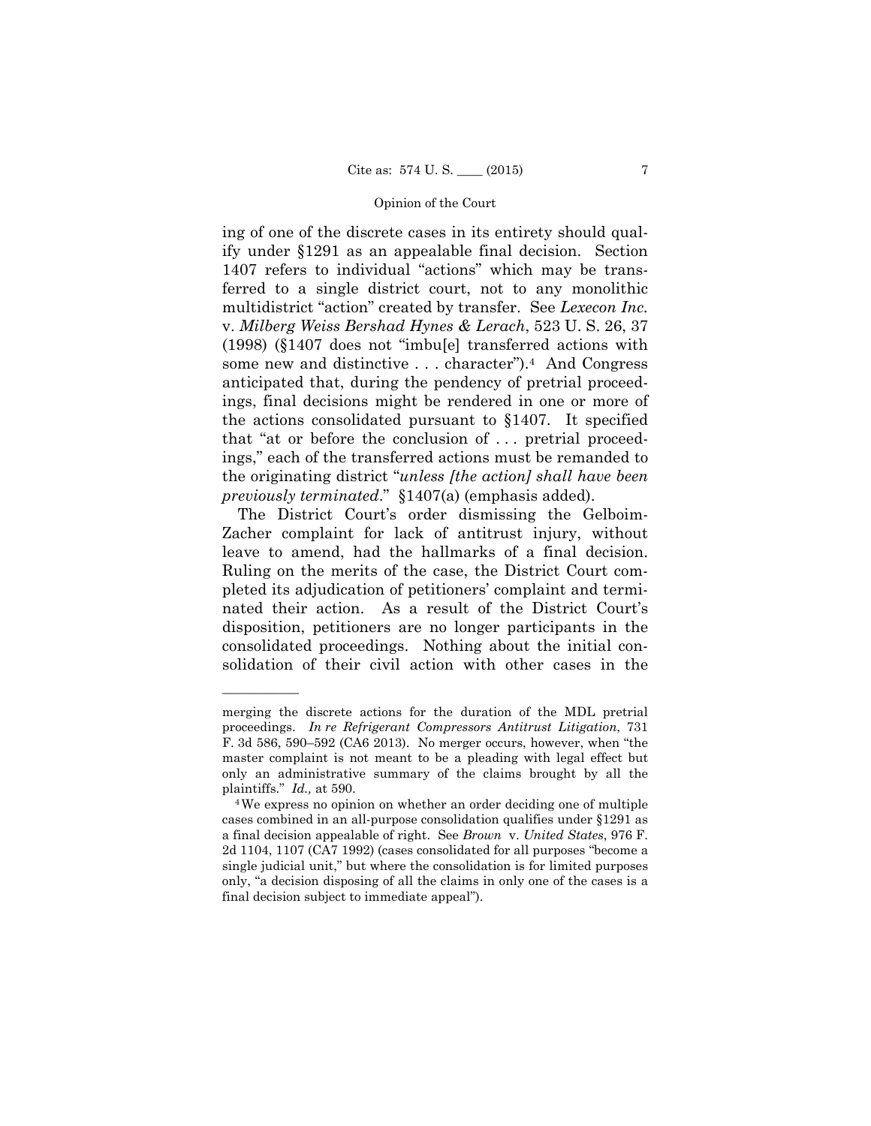ing of one of the discrete cases in its entirety should qualify under §1291 as an appealable final decision. Section 1407 refers to individual "actions" which may be transferred to a single district court, not to any monolithic multidistrict "action" created by transfer. See *Lexecon Inc.*  v. *Milberg Weiss Bershad Hynes & Lerach*, 523 U. S. 26, 37 (1998) (§1407 does not "imbu[e] transferred actions with some new and distinctive ... character").<sup>4</sup> And Congress anticipated that, during the pendency of pretrial proceedings, final decisions might be rendered in one or more of the actions consolidated pursuant to §1407. It specified that "at or before the conclusion of . . . pretrial proceedings," each of the transferred actions must be remanded to the originating district "*unless [the action] shall have been previously terminated*." §1407(a) (emphasis added).

The District Court's order dismissing the Gelboim-Zacher complaint for lack of antitrust injury, without leave to amend, had the hallmarks of a final decision. Ruling on the merits of the case, the District Court completed its adjudication of petitioners' complaint and terminated their action. As a result of the District Court's disposition, petitioners are no longer participants in the consolidated proceedings. Nothing about the initial consolidation of their civil action with other cases in the

merging the discrete actions for the duration of the MDL pretrial proceedings. *In re Refrigerant Compressors Antitrust Litigation*, 731 F. 3d 586, 590–592 (CA6 2013). No merger occurs, however, when "the master complaint is not meant to be a pleading with legal effect but only an administrative summary of the claims brought by all the plaintiffs." *Id.*, at 590.<br><sup>4</sup>We express no opinion on whether an order deciding one of multiple

cases combined in an all-purpose consolidation qualifies under §1291 as a final decision appealable of right. See *Brown* v. *United States*, 976 F. 2d 1104, 1107 (CA7 1992) (cases consolidated for all purposes "become a single judicial unit," but where the consolidation is for limited purposes only, "a decision disposing of all the claims in only one of the cases is a final decision subject to immediate appeal").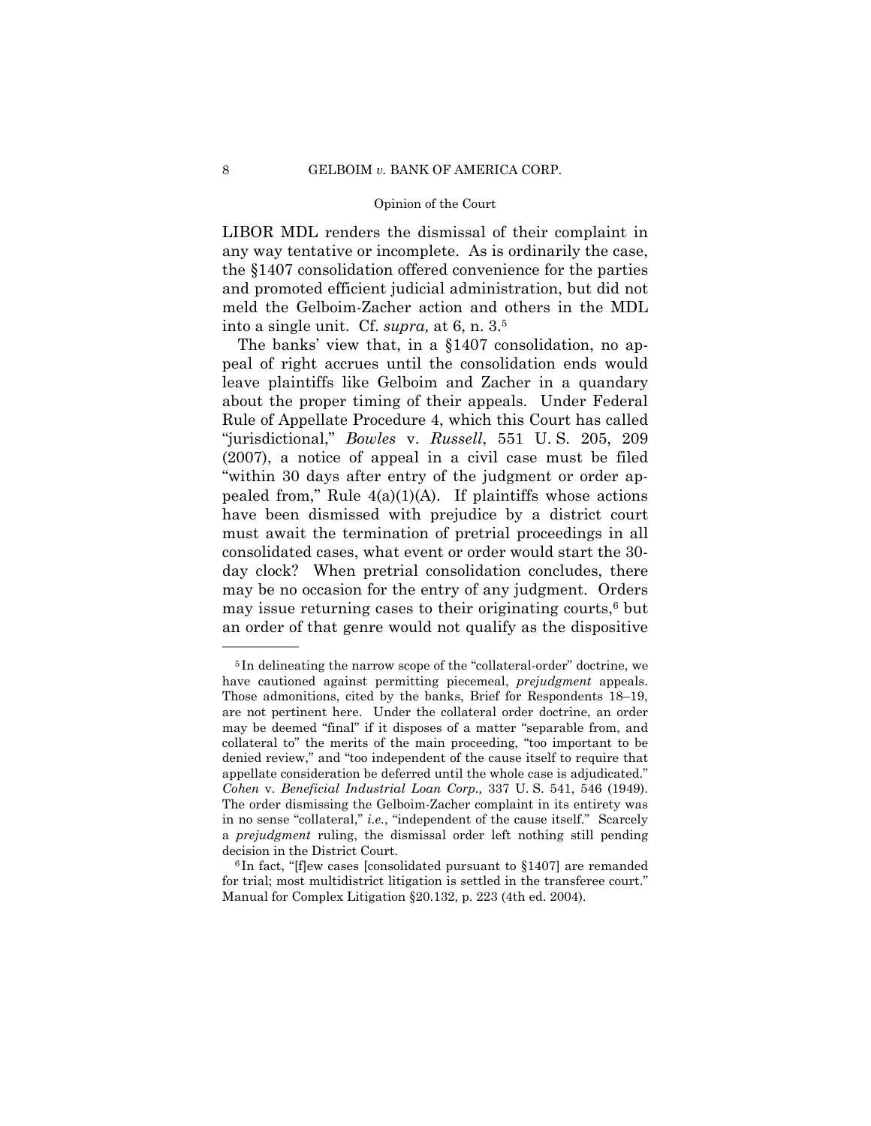LIBOR MDL renders the dismissal of their complaint in any way tentative or incomplete. As is ordinarily the case, the §1407 consolidation offered convenience for the parties and promoted efficient judicial administration, but did not meld the Gelboim-Zacher action and others in the MDL into a single unit. Cf. *supra,* at 6, n. 3.5

The banks' view that, in a §1407 consolidation, no appeal of right accrues until the consolidation ends would leave plaintiffs like Gelboim and Zacher in a quandary about the proper timing of their appeals. Under Federal Rule of Appellate Procedure 4, which this Court has called "jurisdictional," *Bowles* v. *Russell*, 551 U. S. 205, 209 (2007), a notice of appeal in a civil case must be filed "within 30 days after entry of the judgment or order appealed from," Rule  $4(a)(1)(A)$ . If plaintiffs whose actions have been dismissed with prejudice by a district court must await the termination of pretrial proceedings in all consolidated cases, what event or order would start the 30 day clock? When pretrial consolidation concludes, there may be no occasion for the entry of any judgment. Orders may issue returning cases to their originating courts, $6$  but an order of that genre would not qualify as the dispositive

<sup>5</sup> In delineating the narrow scope of the "collateral-order" doctrine, we have cautioned against permitting piecemeal, *prejudgment* appeals. Those admonitions, cited by the banks, Brief for Respondents 18–19, are not pertinent here. Under the collateral order doctrine, an order may be deemed "final" if it disposes of a matter "separable from, and collateral to" the merits of the main proceeding, "too important to be denied review," and "too independent of the cause itself to require that appellate consideration be deferred until the whole case is adjudicated." *Cohen* v. *Beneficial Industrial Loan Corp.,* 337 U. S. 541, 546 (1949). The order dismissing the Gelboim-Zacher complaint in its entirety was in no sense "collateral," *i.e.*, "independent of the cause itself." Scarcely a *prejudgment* ruling, the dismissal order left nothing still pending

decision in the District Court.<br><sup>6</sup> In fact, "[f]ew cases [consolidated pursuant to §1407] are remanded for trial; most multidistrict litigation is settled in the transferee court." Manual for Complex Litigation §20.132, p. 223 (4th ed. 2004).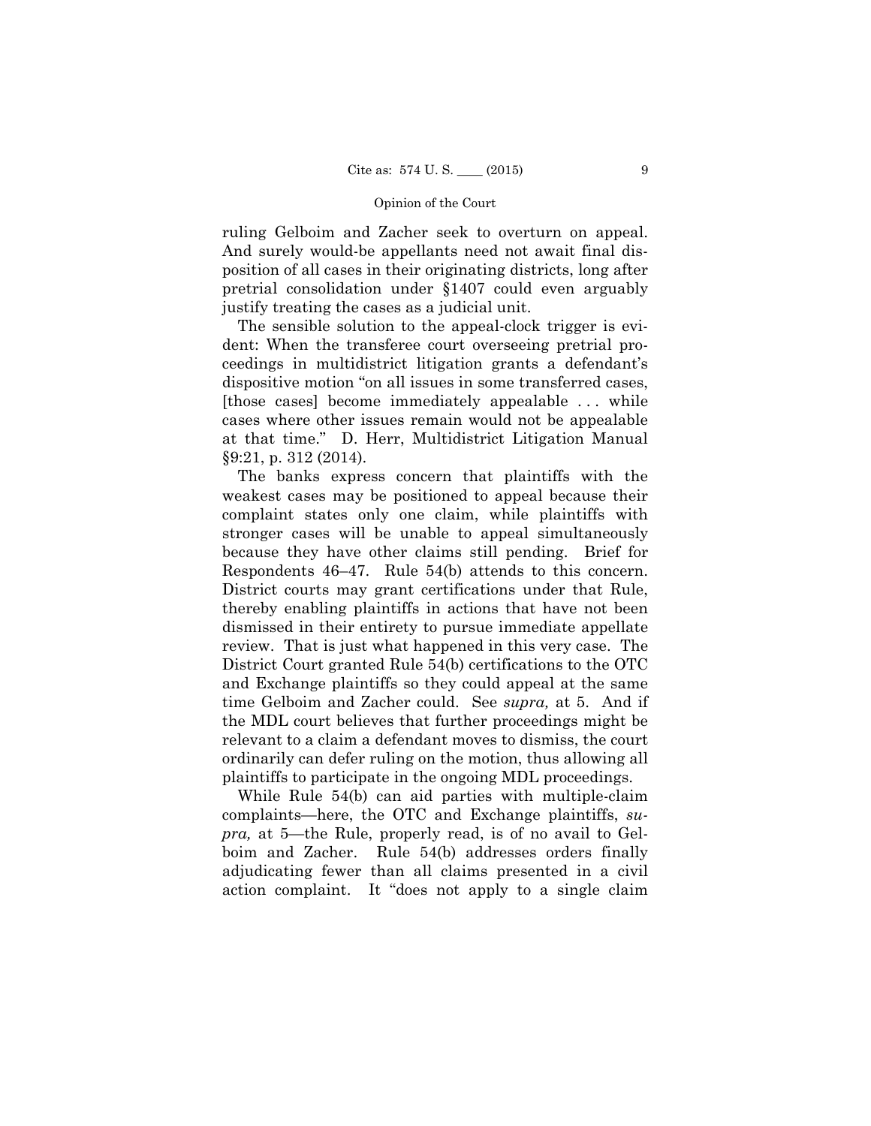ruling Gelboim and Zacher seek to overturn on appeal. And surely would-be appellants need not await final disposition of all cases in their originating districts, long after pretrial consolidation under §1407 could even arguably justify treating the cases as a judicial unit.

The sensible solution to the appeal-clock trigger is evident: When the transferee court overseeing pretrial proceedings in multidistrict litigation grants a defendant's dispositive motion "on all issues in some transferred cases, [those cases] become immediately appealable . . . while cases where other issues remain would not be appealable at that time." D. Herr, Multidistrict Litigation Manual §9:21, p. 312 (2014).

The banks express concern that plaintiffs with the weakest cases may be positioned to appeal because their complaint states only one claim, while plaintiffs with stronger cases will be unable to appeal simultaneously because they have other claims still pending. Brief for Respondents 46–47. Rule 54(b) attends to this concern. District courts may grant certifications under that Rule, thereby enabling plaintiffs in actions that have not been dismissed in their entirety to pursue immediate appellate review. That is just what happened in this very case. The District Court granted Rule 54(b) certifications to the OTC and Exchange plaintiffs so they could appeal at the same time Gelboim and Zacher could. See *supra,* at 5. And if the MDL court believes that further proceedings might be relevant to a claim a defendant moves to dismiss, the court ordinarily can defer ruling on the motion, thus allowing all plaintiffs to participate in the ongoing MDL proceedings.

While Rule 54(b) can aid parties with multiple-claim complaints—here, the OTC and Exchange plaintiffs, *supra,* at 5—the Rule, properly read, is of no avail to Gelboim and Zacher. Rule 54(b) addresses orders finally adjudicating fewer than all claims presented in a civil action complaint. It "does not apply to a single claim